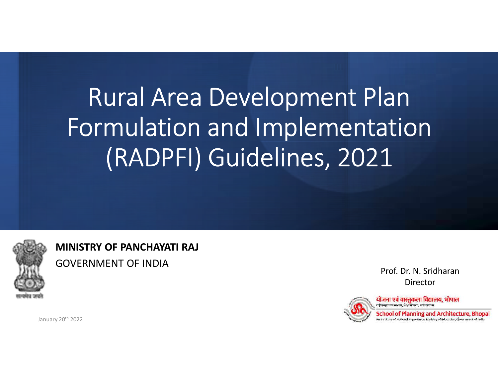# Rural Area Development Plan Formulation and Implementation (RADPFI) Guidelines, 2021 **ation**<br>1<br>Prof. Dr. N. Sridharan<br>Director<br>जना एवं वास्तुकला विद्यालय, भोपाल<br>thool of Planning and Architecture, Bhopal



MINISTRY OF PANCHAYATI RAJ GOVERNMENT OF INDIA

Director



An Institute of National Importance, Ministry of Education, Government of India

January 20<sup>th</sup> 2022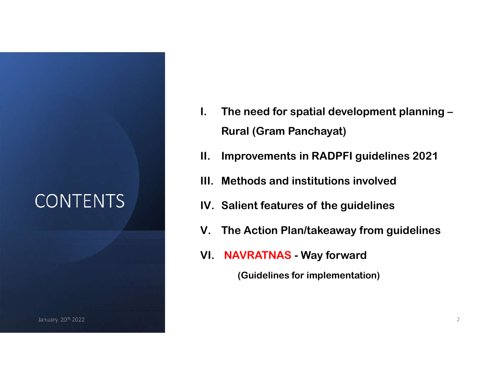January 20 $^{\rm th}$  2022  $^{\rm 2}$ January 20th 2022

- I. The need for spatial development planning Rural (Gram Panchayat) I. The need for spatial development planning –<br>Rural (Gram Panchayat)<br>II. Improvements in RADPFI guidelines 2021<br>III. Methods and institutions involved I. The need for spatial development planning –<br>Rural (Gram Panchayat)<br>II. Improvements in RADPFI guidelines 2021<br>III. Methods and institutions involved<br>IV. Salient features of the guidelines I. The need for spatial development planning –<br>Rural (Gram Panchayat)<br>II. Improvements in RADPFI guidelines 2021<br>III. Methods and institutions involved<br>IV. Salient features of the guidelines<br>V. The Action Plan/takeaway fro I. The need for spatial development planning –<br>Rural (Gram Panchayat)<br>II. Improvements in RADPFI guidelines 2021<br>III. Methods and institutions involved<br>IV. Salient features of the guidelines<br>V. The Action Plan/takeaway fro I. The need for spatial development planning –<br>Rural (Gram Panchayat)<br>II. Improvements in RADPFI guidelines 2021<br>III. Methods and institutions involved<br>IV. Salient features of the guidelines<br>V. The Action Plan/takeaway fro
- 
- 
- CONTENTS IV. Salient features of the guidelines
	-
	-

(Guidelines for implementation)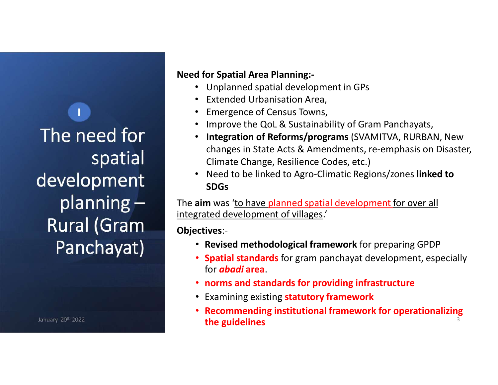The need for spatial development planning – Rural (Gram Panchayat) : D. Grand

January 20th 2022

#### Need for Spatial Area Planning:-

- Unplanned spatial development in GPs
- 
- 
- 
- **d for Spatial Area Planning:-**<br>• Unplanned spatial development in GPs<br>• Extended Urbanisation Area,<br>• Improve the QoL & Sustainability of Gram Panchayats,<br>• Integration of Reforms/programs (SVAMITVA, RURBAN, New changes in State Acts & Amendments, re-emphasis on Disaster, Climate Change, Resilience Codes, etc.)
- Need to be linked to Agro-Climatic Regions/zones linked to SDGs

The aim was 'to have planned spatial development for over all integrated development of villages.'

Objectives:-

- Revised methodological framework for preparing GPDP
- **Spatial standards** for gram panchayat development, especially for abadi area.
- norms and standards for providing infrastructure
- Examining existing **statutory framework**
- Recommending institutional framework for operationalizing the guidelines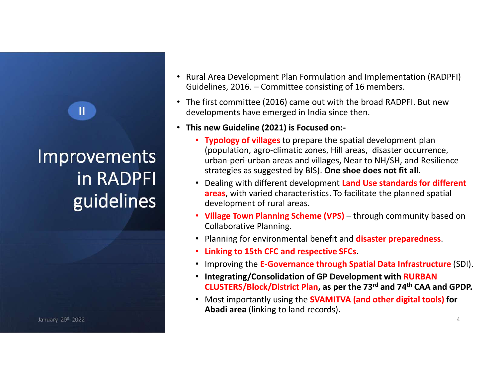# Improvements in RADPFI

III) and a

January 20th 2022

- Rural Area Development Plan Formulation and Implementation (RADPFI) FRIM Area Development Plan Formulation and Implementation (RADPFI)<br>Guidelines, 2016. – Committee consisting of 16 members.<br>• The first committee (2016) came out with the broad RADPFI. But new<br>developments have emerged in I
- developments have emerged in India since then.
- This new Guideline (2021) is Focused on:-
- Typology of villages to prepare the spatial development plan (population, agro-climatic zones, Hill areas, disaster occurrence, urban-peri-urban areas and villages, Near to NH/SH, and Resilience strategies as suggested by BIS). One shoe does not fit all. ral Area Development Plan Formulation and Implementation (RADPFI)<br>idelines, 2016. – Committee consisting of 16 members.<br>
e first committee (2016) came out with the broad RADPFI. But new<br>
velopments have emerged in India si
- guidelines<br>
evelopment of rural areas.<br>
village Town Planning Scheme (VPS) through community based on<br>
village Town Planning Scheme (VPS) through community based on • Dealing with different development Land Use standards for different areas, with varied characteristics. To facilitate the planned spatial development of rural areas.
	- Collaborative Planning.
	- Planning for environmental benefit and **disaster preparedness**.
	- Linking to 15th CFC and respective SFCs.
	- Improving the E-Governance through Spatial Data Infrastructure (SDI).
	- Integrating/Consolidation of GP Development with RURBAN CLUSTERS/Block/District Plan, as per the 73rd and 74th CAA and GPDP.

4

• Most importantly using the **SVAMITVA (and other digital tools) for** Abadi area (linking to land records).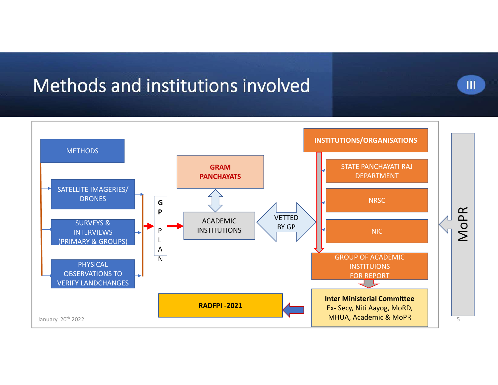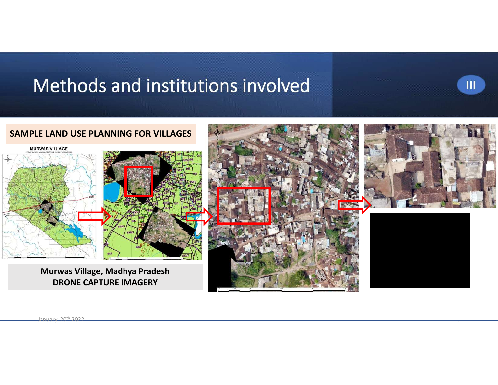

 $\sim$   $\sim$   $\sim$   $\sim$   $\sim$   $\sim$   $\sim$ 

III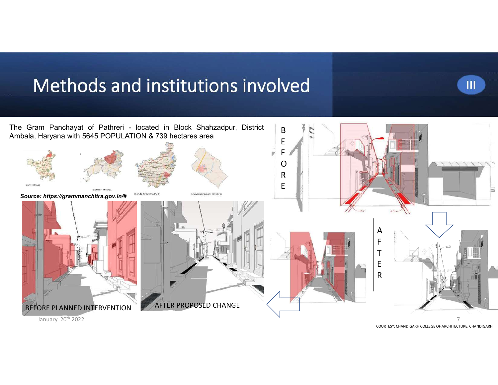

COURTESY: CHANDIGARH COLLEGE OF ARCHITECTURE, CHANDIGARH

III

January 20<sup>th</sup> 2022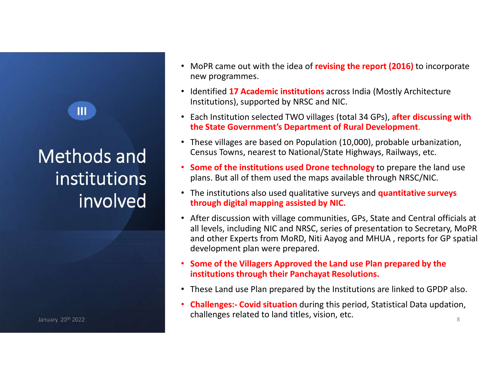III

- MoPR came out with the idea of **revising the report (2016)** to incorporate<br>new programmes.<br>• Identified 17 Academic institutions across India (Mostly Architecture<br>Institutions), supported by NRSC and NIC. new programmes.
- Identified 17 Academic institutions across India (Mostly Architecture Institutions), supported by NRSC and NIC.
- Each Institution selected TWO villages (total 34 GPs), after discussing with the State Government's Department of Rural Development.
- These villages are based on Population (10,000), probable urbanization, Census Towns, nearest to National/State Highways, Railways, etc.
- Some of the institutions used Drone technology to prepare the land use plans. But all of them used the maps available through NRSC/NIC.
- The institutions also used qualitative surveys and **quantitative surveys** through digital mapping assisted by NIC.
- After discussion with village communities, GPs, State and Central officials at all levels, including NIC and NRSC, series of presentation to Secretary, MoPR and other Experts from MoRD, Niti Aayog and MHUA, reports for GP spatial Identified 17 Academic institutions across India (Mostly Architecture<br>Institutions), supported by NRSC and NIC.<br>Each Institution selected TWO villages (total 34 GPs), after discussing with<br>the State Government's Department development plan were prepared. Census Towns, nearest to National/State Highways, Railways, etc.<br>
• **Some of the institutions used Drone technology** to prepare the land use<br>
plans. But all of them used the maps available through NRSC/NIC.<br>
• The institut
- Some of the Villagers Approved the Land use Plan prepared by the institutions through their Panchayat Resolutions.
- These Land use Plan prepared by the Institutions are linked to GPDP also.
- challenges related to land titles, vision, etc.  $\frac{8}{8}$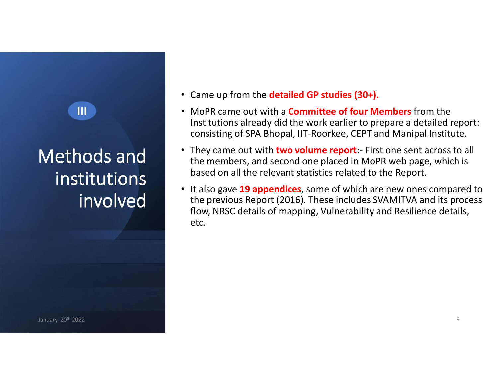#### III

# institutions involved

- Came up from the **detailed GP studies (30+).**
- Came up from the **detailed GP studies (30+).**<br>• MoPR came out with a **Committee of four Members** from the<br>Institutions already did the work earlier to prepare a detailed report:<br>• They came out with **two volume report**:-Institutions already did the work earlier to prepare a detailed report: consisting of SPA Bhopal, IIT-Roorkee, CEPT and Manipal Institute. • Came up from the **detailed GP studies (30+).**<br>• MoPR came out with a **Committee of four Members** from the<br>Institutions already did the work earlier to prepare a detailed report:<br>consisting of SPA Bhopal, IIT-Roorkee, CEP Came up from the **detailed GP studies (30+).**<br>MoPR came out with a **Committee of four Members** from the<br>Institutions already did the work earlier to prepare a detailed report:<br>consisting of SPA Bhopal, IIT-Roorkee, CEPT an
- based on all the relevant statistics related to the Report. **Methods and** <br>the members, and second one placed in MoPR web page, which is
	- It also gave 19 appendices, some of which are new ones compared to the previous Report (2016). These includes SVAMITVA and its process flow, NRSC details of mapping, Vulnerability and Resilience details, etc.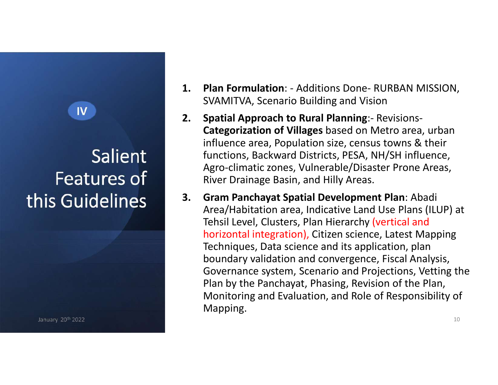### Salient Features of this Guidelines  $3.$

- SVAMITVA, Scenario Building and Vision
- 1. Plan Formulation: Additions Done- RURBAN MISSION,<br>SVAMITVA, Scenario Building and Vision<br>2. Spatial Approach to Rural Planning:- Revisions-<br>Categorization of Villages based on Metro area, urban **1. Plan Formulation:** - Additions Done- RURBAN MISSION,<br>SVAMITVA, Scenario Building and Vision<br>**2. Spatial Approach to Rural Planning:**- Revisions-<br>**Categorization of Villages** based on Metro area, urban<br>influence area, P Categorization of Villages based on Metro area, urban influence area, Population size, census towns & their functions, Backward Districts, PESA, NH/SH influence, Agro-climatic zones, Vulnerable/Disaster Prone Areas, River Drainage Basin, and Hilly Areas. **1. Plan Formulation**: - Additions Done- RURBAN MISSION,<br>SVAMITVA, Scenario Building and Vision<br>**2. Spatial Approach to Rural Planning**:- Revisions-<br>**Categorization of Villages** based on Metro area, urban<br>influence area, P IV **IV** 
	- Area/Habitation area, Indicative Land Use Plans (ILUP) at Tehsil Level, Clusters, Plan Hierarchy (vertical and horizontal integration), Citizen science, Latest Mapping Techniques, Data science and its application, plan boundary validation and convergence, Fiscal Analysis, Governance system, Scenario and Projections, Vetting the Plan by the Panchayat, Phasing, Revision of the Plan, Monitoring and Evaluation, and Role of Responsibility of Mapping.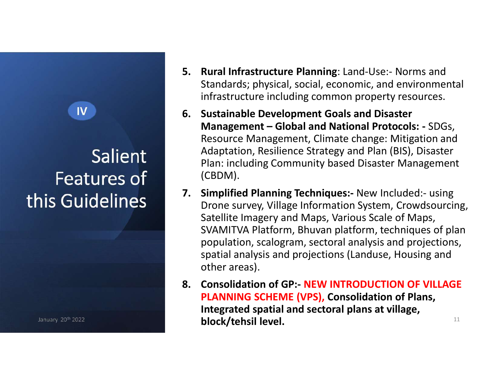### Salient Features of this Guidelines<sup>7</sup>

- 5. Rural Infrastructure Planning: Land-Use:- Norms and<br>Standards; physical, social, economic, and environmental<br>infrastructure including common property resources.<br>6. Sustainable Development Goals and Disaster Standards; physical, social, economic, and environmental infrastructure including common property resources.
- **5. Rural Infrastructure Planning**: Land-Use:- Norms and<br>
Standards; physical, social, economic, and environmenta<br>
infrastructure including common property resources.<br> **6. Sustainable Development Goals and Disaster<br>
Manage Rural Infrastructure Planning**: Land-Use:- Norms and<br>Standards; physical, social, economic, and environmental<br>infrastructure including common property resources.<br>**Sustainable Development Goals and Disaster**<br>**Management –** Resource Management, Climate change: Mitigation and Adaptation, Resilience Strategy and Plan (BIS), Disaster Plan: including Community based Disaster Management (CBDM). 5. **Rural Infrastructure Planning**: Land-Use:- Norms and<br>
Standards; physical, social, economic, and environmental<br>
infrastructure including common property resources.<br> **6. Sustainable Development Goals and Disaster**<br> **Man IV 2008 2009 12:30 Sustainable Development Goals and Disaster** 
	- Drone survey, Village Information System, Crowdsourcing, Satellite Imagery and Maps, Various Scale of Maps, National External Provider Controlling Camerose: Nothins and Standards; physical, social, economic, and environmental infrastructure including common property resources.<br> **Sustainable Development Goals and Disaster**<br> **Mana** population, scalogram, sectoral analysis and projections, spatial analysis and projections (Landuse, Housing and other areas). Resource Management, Climate change: Mitigation and<br>Resource Management, Climate change: Mitigation and<br>Adaptation, Resilience Strategy and Plan (BIS), Disaster<br>Plan: including Community based Disaster Management<br>(CBDM).<br>
	- PLANNING SCHEME (VPS), Consolidation of Plans, Integrated spatial and sectoral plans at village, block/tehsil level.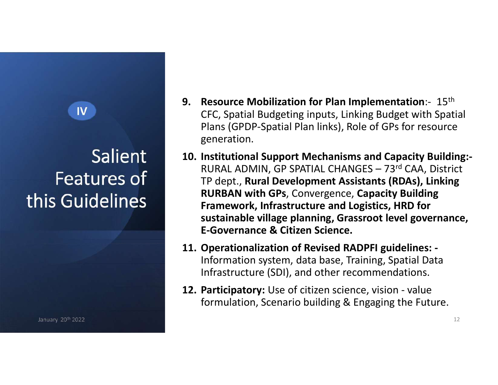# Features of this Guidelines

- 9. Resource Mobilization for Plan Implementation:- 15<sup>th</sup><br>CFC, Spatial Budgeting inputs, Linking Budget with Spatial<br>Plans (GPDP-Spatial Plan links), Role of GPs for resource<br>generation. CFC, Spatial Budgeting inputs, Linking Budget with Spatial Plans (GPDP-Spatial Plan links), Role of GPs for resource generation. IV **IV** 
	- **9.** Resource Mobilization for Plan Implementation:-  $15$ <sup>th</sup><br>CFC, Spatial Budgeting inputs, Linking Budget with Spatial<br>Plans (GPDP-Spatial Plan links), Role of GPs for resource<br>generation.<br>**10. Institutional Support Mec** Resource Mobilization for Plan Implementation:- 15<sup>th</sup><br>CFC, Spatial Budgeting inputs, Linking Budget with Spatial<br>Plans (GPDP-Spatial Plan links), Role of GPs for resource<br>generation.<br>Institutional Support Mechanisms and C TP dept., Rural Development Assistants (RDAs), Linking RURBAN with GPs, Convergence, Capacity Building Framework, Infrastructure and Logistics, HRD for sustainable village planning, Grassroot level governance, E-Governance & Citizen Science. 9. Resource Mobilization for Plan Implementation:-  $15$ <sup>th</sup><br>CFC, Spatial Budgeting inputs, Linking Budget with Spatial<br>Plans (GPDP-Spatial Plan links), Role of GPs for resource<br>generation.<br>10. Institutional Support Mechan generation.<br>
	10. Institutional Support Mechanisms and Capacity Building:-<br>
	RURAL ADMIN, GP SPATIAL CHANGES – 73<sup>rd</sup> CAA, District<br>
	TP dept., Rural Development Assistants (RDAs), Linking<br>
	RURBAN with GPs, Convergence, Capac Salient 10. Institutional Support Mechanisms and Capacity Building:-
		- Information system, data base, Training, Spatial Data Infrastructure (SDI), and other recommendations.
		- formulation, Scenario building & Engaging the Future.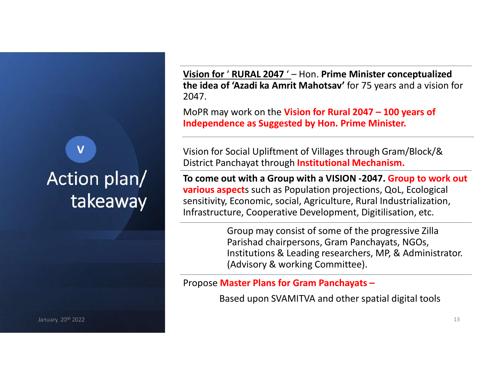### Action plan/ takeaway

January 20 $^{\rm th}$  2022  $^{\rm 13}$ 

Vision for ' RURAL 2047 ' – Hon. Prime Minister conceptualized<br>the idea of 'Azadi ka Amrit Mahotsav' for 75 years and a vision for<br>2047.<br>MoPR may work on the Vision for Rural 2047 – 100 years of the idea of 'Azadi ka Amrit Mahotsav' for 75 years and a vision for 2047. Vision for 'RURAL 2047 '- Hon. Prime Minister conceptualized<br>the idea of 'Azadi ka Amrit Mahotsav' for 75 years and a vision for<br>2047.<br>MoPR may work on the Vision for Rural 2047 – 100 years of<br>Independence as Suggested by

Independence as Suggested by Hon. Prime Minister.

**V** Visi Vision for Social Upliftment of Villages through Gram/Block/& District Panchayat through Institutional Mechanism.

> To come out with a Group with a VISION -2047. Group to work out **various aspect**s such as Population projections, QoL, Ecological sensitivity, Economic, social, Agriculture, Rural Industrialization, Infrastructure, Cooperative Development, Digitilisation, etc.

> > Group may consist of some of the progressive Zilla Parishad chairpersons, Gram Panchayats, NGOs, Institutions & Leading researchers, MP, & Administrator. (Advisory & working Committee).

Propose Master Plans for Gram Panchayats –

Based upon SVAMITVA and other spatial digital tools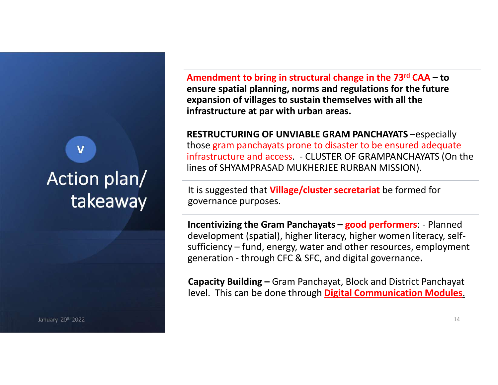### Action plan/ takeaway

January 20th 2022

Amendment to bring in structural change in the 73<sup>rd</sup> CAA – to<br>ensure spatial planning, norms and regulations for the future<br>expansion of villages to sustain themselves with all the<br>infrastructure at par with urban areas. ensure spatial planning, norms and regulations for the future expansion of villages to sustain themselves with all the infrastructure at par with urban areas.

RESTRUCTURING OF UNVIABLE GRAM PANCHAYATS –especially those gram panchayats prone to disaster to be ensured adequate **Amendment to bring in structural change in the 73<sup>rd</sup> CAA – to<br>ensure spatial planning, norms and regulations for the future<br>expansion of villages to sustain themselves with all the<br>infrastructure at par with urban areas.** lines of SHYAMPRASAD MUKHERJEE RURBAN MISSION). **V** the the state of the state of the state of the state of the state of the state of the state of the state of the state of the state of the state of the state of the state of the state of the state of the state of the st

It is suggested that **Village/cluster secretariat** be formed for governance purposes.

**Amendment to bring in structural change in the 73<sup>rd</sup> CAA – to**<br>ensure spatial planning, norms and regulations for the future<br>expansion of villages to sustain themselves with all the<br>infrastructure at par with urban areas development (spatial), higher literacy, higher women literacy, selfexpansion of villages to sustain themselves with all the<br>expansion of villages to sustain themselves with all the<br>infrastructure at par with urban areas.<br>RESTRUCTURING OF UNVIABLE GRAM PANCHAYATS –especially<br>those gram pan expansion of vinages to sustain themsess with an the<br>Infrastructure at par with urban areas.<br>RESTRUCTURING OF UNVIABLE GRAM PANCHAYATS -especially<br>those gram panchayats prone to disaster to be ensured adequate<br>infrastructu

level. This can be done through **Digital Communication Modules**.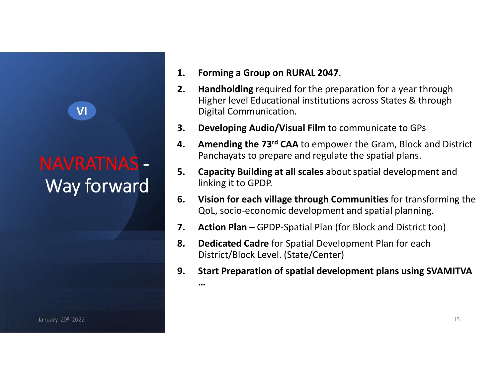VI

- 
- 1. Forming a Group on RURAL 2047.<br>
2. Handholding required for the preparation for a year through<br>
Higher level Educational institutions across States & through<br>
Digital Communication.<br>
3. Developing Audio/Visual Film to c Higher level Educational institutions across States & through Digital Communication. 1. **Forming a Group on RURAL 2047.**<br>
2. **Handholding required for the preparation for a year through**<br>
Higher level Educational institutions across States & through<br>
Digital Communication.<br>
3. **Developing Audio/Visual Film** 1. **Forming a Group on RURAL 2047.**<br>
2. **Handholding required for the preparation for a year through**<br>
Higher level Educational institutions across States & through<br>
Digital Communication.<br>
3. **Developing Audio/Visual Film 1.** Forming a Group on RURAL 2047.<br> **2.** Handholding required for the preparation for a year through<br>
Higher level Educational institutions across States & through<br>
Digital Communication.<br> **3.** Developing Audio/Visual Fi 1. **Forming a Group on RURAL 2047.**<br>
2. **Handholding required for the preparation for a year through**<br>
Higher level Educational institutions across States & through<br>
Digital Communication.<br>
3. **Developing Audio/Visual Film** 1. Forming a Group on RURAL 2047.<br>
2. Handholding required for the preparation for a year through<br>
Higher level Educational institutions across States & through<br>
Digital Communication.<br>
3. Developing Audio/Visual Film to c **2.** Handholding required for the preparation for a year through<br>
Higher level Educational institutions across States & through<br>
Digital Communication.<br> **3.** Developing Audio/Visual Film to communicate to GPs<br> **4.** Amendi
- 
- Panchayats to prepare and regulate the spatial plans.
- MAVRATNAS 5. Capacity Building at all scales about spatial development and Way forward linking it to GPDP.<br>
6. Vision for each village through Communities for transforming the linking it to GPDP.
	- QoL, socio-economic development and spatial planning.
	-
	- District/Block Level. (State/Center)
- 9. Start Preparation of spatial Film to communicate to GPs<br>
9. **Amending the 73<sup>rd</sup> CAA** to empower the Gram, Block and District<br>
Panchayats to prepare and regulate the spatial plans.<br>
5. **Capacity Building at all scales**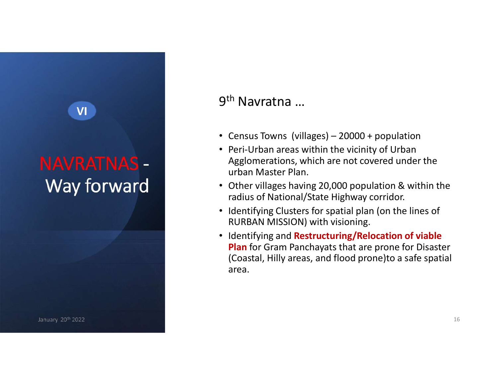### NAVRATNAS - Way forward

VI

January 20th 2022

#### 9<sup>th</sup> Navratna ...

- th Navratna ...<br>Census Towns (villages) 20000 + population<br>Peri-Urban areas within the vicinity of Urban
- 9<sup>th</sup> Navratna ...<br>• Census Towns (villages) 20000 + population<br>• Peri-Urban areas within the vicinity of Urban<br>Agglomerations, which are not covered under the<br>urban Master Plan. • Peri-Urban areas within the vicinity of Urban Agglomerations, which are not covered under the urban Master Plan.
- Other villages having 20,000 population & within the radius of National/State Highway corridor.
- Identifying Clusters for spatial plan (on the lines of RURBAN MISSION) with visioning.
- Identifying and Restructuring/Relocation of viable Plan for Gram Panchayats that are prone for Disaster (Coastal, Hilly areas, and flood prone)to a safe spatial area.